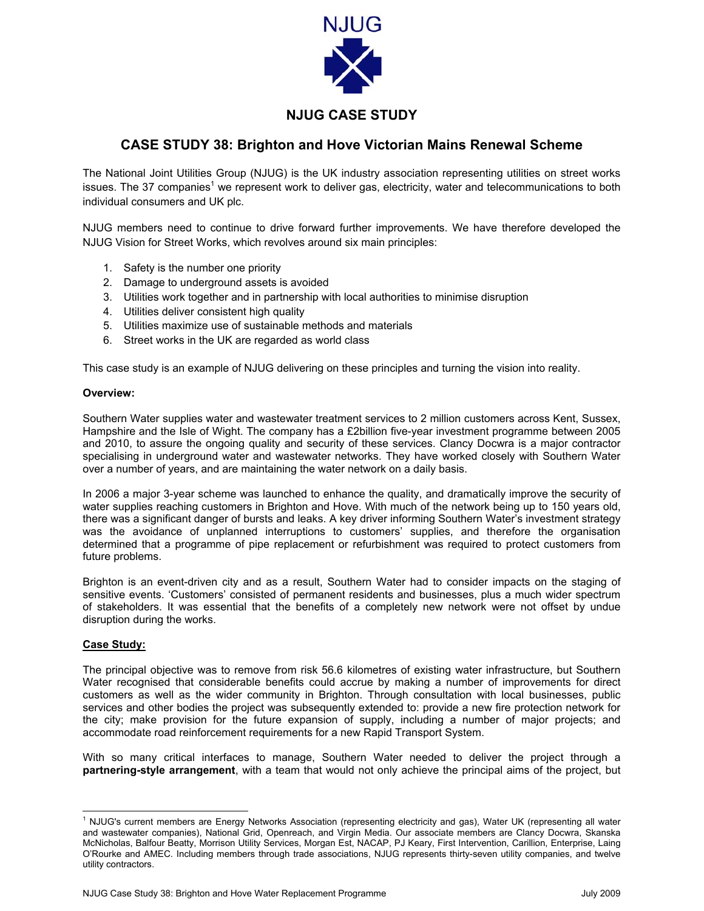

# **NJUG CASE STUDY**

# **CASE STUDY 38: Brighton and Hove Victorian Mains Renewal Scheme**

The National Joint Utilities Group (NJUG) is the UK industry association representing utilities on street works issues. The 37 companies<sup>[1](#page-0-0)</sup> we represent work to deliver gas, electricity, water and telecommunications to both individual consumers and UK plc.

NJUG members need to continue to drive forward further improvements. We have therefore developed the NJUG Vision for Street Works, which revolves around six main principles:

- 1. Safety is the number one priority
- 2. Damage to underground assets is avoided
- 3. Utilities work together and in partnership with local authorities to minimise disruption
- 4. Utilities deliver consistent high quality
- 5. Utilities maximize use of sustainable methods and materials
- 6. Street works in the UK are regarded as world class

This case study is an example of NJUG delivering on these principles and turning the vision into reality.

#### **Overview:**

Southern Water supplies water and wastewater treatment services to 2 million customers across Kent, Sussex, Hampshire and the Isle of Wight. The company has a £2billion five-year investment programme between 2005 and 2010, to assure the ongoing quality and security of these services. Clancy Docwra is a major contractor specialising in underground water and wastewater networks. They have worked closely with Southern Water over a number of years, and are maintaining the water network on a daily basis.

In 2006 a major 3-year scheme was launched to enhance the quality, and dramatically improve the security of water supplies reaching customers in Brighton and Hove. With much of the network being up to 150 years old, there was a significant danger of bursts and leaks. A key driver informing Southern Water's investment strategy was the avoidance of unplanned interruptions to customers' supplies, and therefore the organisation determined that a programme of pipe replacement or refurbishment was required to protect customers from future problems.

Brighton is an event-driven city and as a result, Southern Water had to consider impacts on the staging of sensitive events. 'Customers' consisted of permanent residents and businesses, plus a much wider spectrum of stakeholders. It was essential that the benefits of a completely new network were not offset by undue disruption during the works.

## **Case Study:**

The principal objective was to remove from risk 56.6 kilometres of existing water infrastructure, but Southern Water recognised that considerable benefits could accrue by making a number of improvements for direct customers as well as the wider community in Brighton. Through consultation with local businesses, public services and other bodies the project was subsequently extended to: provide a new fire protection network for the city; make provision for the future expansion of supply, including a number of major projects; and accommodate road reinforcement requirements for a new Rapid Transport System.

With so many critical interfaces to manage, Southern Water needed to deliver the project through a **partnering-style arrangement**, with a team that would not only achieve the principal aims of the project, but

<span id="page-0-0"></span> $\frac{1}{1}$ <sup>1</sup> NJUG's current members are Energy Networks Association (representing electricity and gas), Water UK (representing all water and wastewater companies), National Grid, Openreach, and Virgin Media. Our associate members are Clancy Docwra, Skanska McNicholas, Balfour Beatty, Morrison Utility Services, Morgan Est, NACAP, PJ Keary, First Intervention, Carillion, Enterprise, Laing O'Rourke and AMEC. Including members through trade associations, NJUG represents thirty-seven utility companies, and twelve utility contractors.